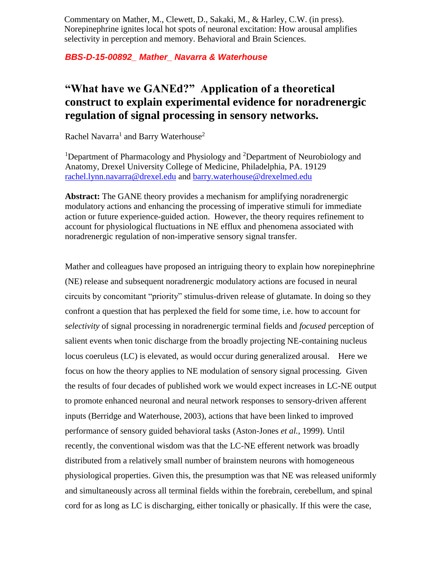Commentary on Mather, M., Clewett, D., Sakaki, M., & Harley, C.W. (in press). Norepinephrine ignites local hot spots of neuronal excitation: How arousal amplifies selectivity in perception and memory. Behavioral and Brain Sciences.

## *BBS-D-15-00892\_ Mather\_ Navarra & Waterhouse*

## **"What have we GANEd?" Application of a theoretical construct to explain experimental evidence for noradrenergic regulation of signal processing in sensory networks.**

Rachel Navarra<sup>1</sup> and Barry Waterhouse<sup>2</sup>

<sup>1</sup>Department of Pharmacology and Physiology and <sup>2</sup>Department of Neurobiology and Anatomy, Drexel University College of Medicine, Philadelphia, PA. 19129 [rachel.lynn.navarra@drexel.edu](mailto:rachel.lynn.navarra@drexel.edu) and [barry.waterhouse@drexelmed.edu](mailto:barry.waterhouse@drexelmed.edu)

**Abstract:** The GANE theory provides a mechanism for amplifying noradrenergic modulatory actions and enhancing the processing of imperative stimuli for immediate action or future experience-guided action. However, the theory requires refinement to account for physiological fluctuations in NE efflux and phenomena associated with noradrenergic regulation of non-imperative sensory signal transfer.

Mather and colleagues have proposed an intriguing theory to explain how norepinephrine (NE) release and subsequent noradrenergic modulatory actions are focused in neural circuits by concomitant "priority" stimulus-driven release of glutamate. In doing so they confront a question that has perplexed the field for some time, i.e. how to account for *selectivity* of signal processing in noradrenergic terminal fields and *focused* perception of salient events when tonic discharge from the broadly projecting NE-containing nucleus locus coeruleus (LC) is elevated, as would occur during generalized arousal. Here we focus on how the theory applies to NE modulation of sensory signal processing. Given the results of four decades of published work we would expect increases in LC-NE output to promote enhanced neuronal and neural network responses to sensory-driven afferent inputs (Berridge and Waterhouse, 2003), actions that have been linked to improved performance of sensory guided behavioral tasks (Aston-Jones *et al.*, 1999). Until recently, the conventional wisdom was that the LC-NE efferent network was broadly distributed from a relatively small number of brainstem neurons with homogeneous physiological properties. Given this, the presumption was that NE was released uniformly and simultaneously across all terminal fields within the forebrain, cerebellum, and spinal cord for as long as LC is discharging, either tonically or phasically. If this were the case,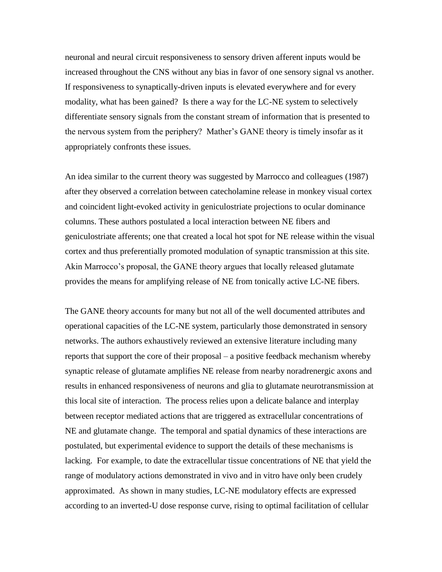neuronal and neural circuit responsiveness to sensory driven afferent inputs would be increased throughout the CNS without any bias in favor of one sensory signal vs another. If responsiveness to synaptically-driven inputs is elevated everywhere and for every modality, what has been gained? Is there a way for the LC-NE system to selectively differentiate sensory signals from the constant stream of information that is presented to the nervous system from the periphery? Mather's GANE theory is timely insofar as it appropriately confronts these issues.

An idea similar to the current theory was suggested by Marrocco and colleagues (1987) after they observed a correlation between catecholamine release in monkey visual cortex and coincident light-evoked activity in geniculostriate projections to ocular dominance columns. These authors postulated a local interaction between NE fibers and geniculostriate afferents; one that created a local hot spot for NE release within the visual cortex and thus preferentially promoted modulation of synaptic transmission at this site. Akin Marrocco's proposal, the GANE theory argues that locally released glutamate provides the means for amplifying release of NE from tonically active LC-NE fibers.

The GANE theory accounts for many but not all of the well documented attributes and operational capacities of the LC-NE system, particularly those demonstrated in sensory networks. The authors exhaustively reviewed an extensive literature including many reports that support the core of their proposal – a positive feedback mechanism whereby synaptic release of glutamate amplifies NE release from nearby noradrenergic axons and results in enhanced responsiveness of neurons and glia to glutamate neurotransmission at this local site of interaction. The process relies upon a delicate balance and interplay between receptor mediated actions that are triggered as extracellular concentrations of NE and glutamate change. The temporal and spatial dynamics of these interactions are postulated, but experimental evidence to support the details of these mechanisms is lacking. For example, to date the extracellular tissue concentrations of NE that yield the range of modulatory actions demonstrated in vivo and in vitro have only been crudely approximated. As shown in many studies, LC-NE modulatory effects are expressed according to an inverted-U dose response curve, rising to optimal facilitation of cellular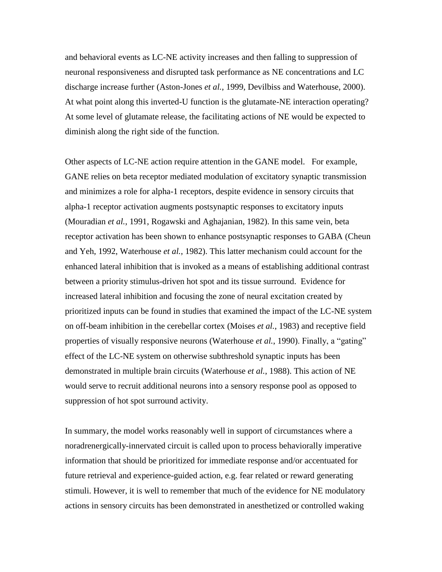and behavioral events as LC-NE activity increases and then falling to suppression of neuronal responsiveness and disrupted task performance as NE concentrations and LC discharge increase further (Aston-Jones *et al.*, 1999, Devilbiss and Waterhouse, 2000). At what point along this inverted-U function is the glutamate-NE interaction operating? At some level of glutamate release, the facilitating actions of NE would be expected to diminish along the right side of the function.

Other aspects of LC-NE action require attention in the GANE model. For example, GANE relies on beta receptor mediated modulation of excitatory synaptic transmission and minimizes a role for alpha-1 receptors, despite evidence in sensory circuits that alpha-1 receptor activation augments postsynaptic responses to excitatory inputs (Mouradian *et al.*, 1991, Rogawski and Aghajanian, 1982). In this same vein, beta receptor activation has been shown to enhance postsynaptic responses to GABA (Cheun and Yeh, 1992, Waterhouse *et al.*, 1982). This latter mechanism could account for the enhanced lateral inhibition that is invoked as a means of establishing additional contrast between a priority stimulus-driven hot spot and its tissue surround. Evidence for increased lateral inhibition and focusing the zone of neural excitation created by prioritized inputs can be found in studies that examined the impact of the LC-NE system on off-beam inhibition in the cerebellar cortex (Moises *et al.*, 1983) and receptive field properties of visually responsive neurons (Waterhouse *et al.*, 1990). Finally, a "gating" effect of the LC-NE system on otherwise subthreshold synaptic inputs has been demonstrated in multiple brain circuits (Waterhouse *et al.*, 1988). This action of NE would serve to recruit additional neurons into a sensory response pool as opposed to suppression of hot spot surround activity.

In summary, the model works reasonably well in support of circumstances where a noradrenergically-innervated circuit is called upon to process behaviorally imperative information that should be prioritized for immediate response and/or accentuated for future retrieval and experience-guided action, e.g. fear related or reward generating stimuli. However, it is well to remember that much of the evidence for NE modulatory actions in sensory circuits has been demonstrated in anesthetized or controlled waking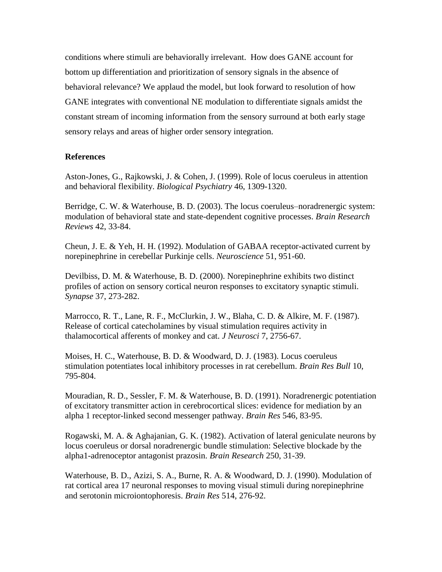conditions where stimuli are behaviorally irrelevant. How does GANE account for bottom up differentiation and prioritization of sensory signals in the absence of behavioral relevance? We applaud the model, but look forward to resolution of how GANE integrates with conventional NE modulation to differentiate signals amidst the constant stream of incoming information from the sensory surround at both early stage sensory relays and areas of higher order sensory integration.

## **References**

Aston-Jones, G., Rajkowski, J. & Cohen, J. (1999). Role of locus coeruleus in attention and behavioral flexibility. *Biological Psychiatry* 46, 1309-1320.

Berridge, C. W. & Waterhouse, B. D. (2003). The locus coeruleus–noradrenergic system: modulation of behavioral state and state-dependent cognitive processes. *Brain Research Reviews* 42, 33-84.

Cheun, J. E. & Yeh, H. H. (1992). Modulation of GABAA receptor-activated current by norepinephrine in cerebellar Purkinje cells. *Neuroscience* 51, 951-60.

Devilbiss, D. M. & Waterhouse, B. D. (2000). Norepinephrine exhibits two distinct profiles of action on sensory cortical neuron responses to excitatory synaptic stimuli. *Synapse* 37, 273-282.

Marrocco, R. T., Lane, R. F., McClurkin, J. W., Blaha, C. D. & Alkire, M. F. (1987). Release of cortical catecholamines by visual stimulation requires activity in thalamocortical afferents of monkey and cat. *J Neurosci* 7, 2756-67.

Moises, H. C., Waterhouse, B. D. & Woodward, D. J. (1983). Locus coeruleus stimulation potentiates local inhibitory processes in rat cerebellum. *Brain Res Bull* 10, 795-804.

Mouradian, R. D., Sessler, F. M. & Waterhouse, B. D. (1991). Noradrenergic potentiation of excitatory transmitter action in cerebrocortical slices: evidence for mediation by an alpha 1 receptor-linked second messenger pathway. *Brain Res* 546, 83-95.

Rogawski, M. A. & Aghajanian, G. K. (1982). Activation of lateral geniculate neurons by locus coeruleus or dorsal noradrenergic bundle stimulation: Selective blockade by the alpha1-adrenoceptor antagonist prazosin. *Brain Research* 250, 31-39.

Waterhouse, B. D., Azizi, S. A., Burne, R. A. & Woodward, D. J. (1990). Modulation of rat cortical area 17 neuronal responses to moving visual stimuli during norepinephrine and serotonin microiontophoresis. *Brain Res* 514, 276-92.